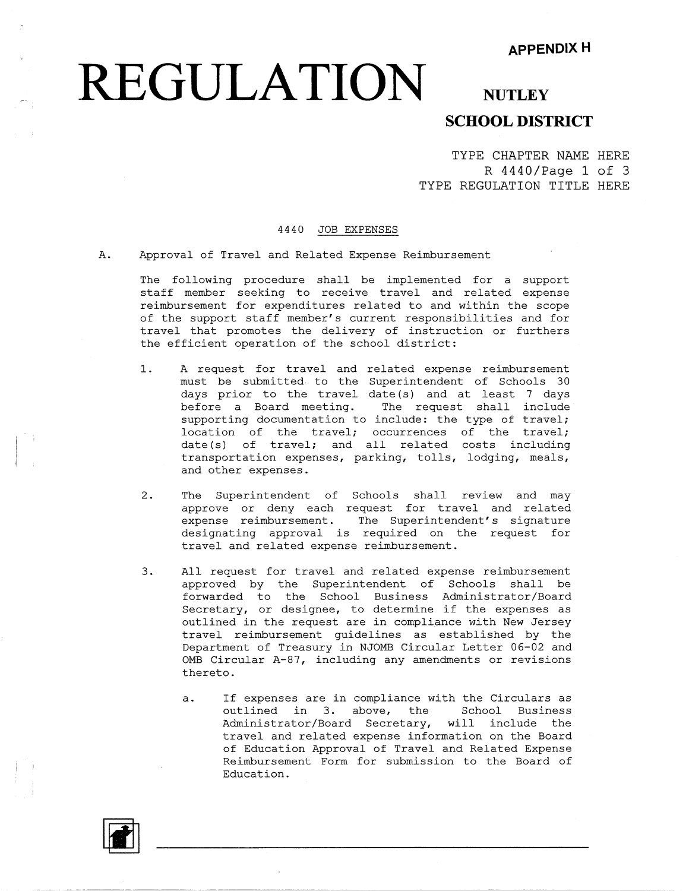## **REGULATION** NUTLEY

#### **SCHOOL DISTRICT**

TYPE CHAPTER NAME HERE R 4440/Page 1 of 3 TYPE REGULATION TITLE HERE

#### 4440 JOB EXPENSES

A. Approval of Travel and Related Expense Reimbursement

The following procedure shall be implemented for a support staff member seeking to receive travel and related expense reimbursement for expenditures related to and within the scope of the support staff member's current responsibilities and for travel that promotes the delivery of instruction or furthers the efficient operation of the school district:

- 1. A request for travel and related expense reimbursement must be submitted to the Superintendent of Schools 30 days prior to the travel date (s) and at least 7 days before a Board meeting. The request shall include supporting documentation to include: the type of travel; location of the travel; occurrences of the travel; date(s) of travel; and all related costs including transportation expenses, parking, tolls, lodging, meals, and other expenses.
- 2. The Superintendent of Schools shall review and may approve or deny each request for travel and related expense reimbursement. The Superintendent's signature designating approval is required on the request for travel and related expense reimbursement.
- 3. All request for travel and related expense reimbursement approved by the Superintendent of Schools shall be forwarded to the School Business Administrator/Board Secretary, or designee, to determine if the expenses as outlined in the request are in compliance with New Jersey travel reimbursement guidelines as established by the Department of Treasury in NJOMB Circular Letter 06-02 and 0MB Circular A-87, including any amendments or revisions thereto.
	- a. If expenses are in compliance with the Circulars as outlined in 3. above, the School Business Administrator/Board Secretary, will include the travel and related expense information on the Board of Education Approval of Travel and Related Expense Reimbursement Form for submission to the Board of Education.

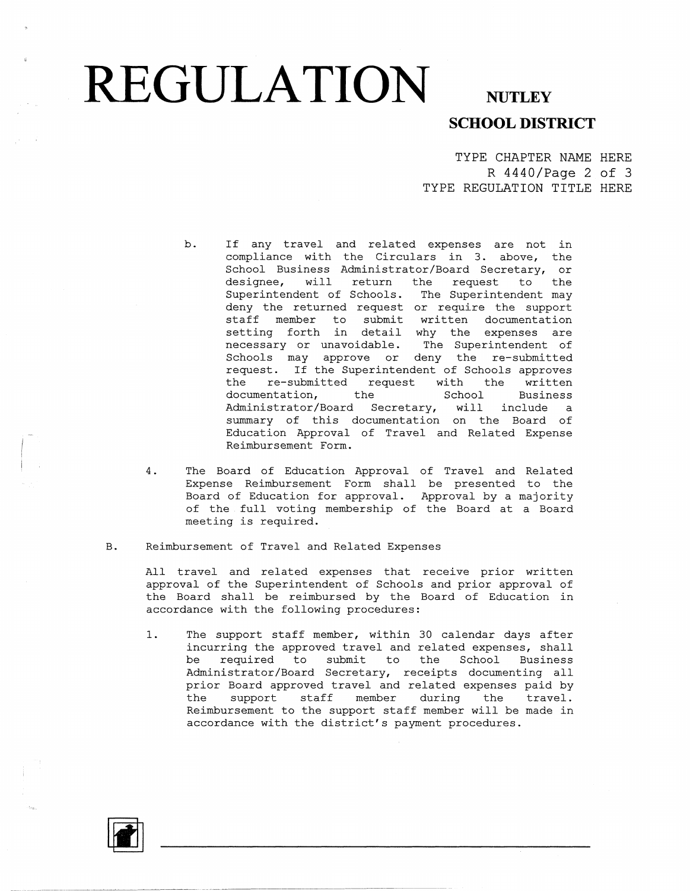# **REGULATION** NUTLEY

### **SCHOOL DISTRICT**

TYPE CHAPTER NAME HERE R 4440/Page 2 of 3 TYPE REGULATION TITLE HERE

- b. If any travel and related expenses are not in compliance with the Circulars in 3. above, the School Business Administrator/Board Secretary, or<br>designee, will return the request to the will return the request to the Superintendent of Schools. The Superintendent may deny the returned request or require the support staff member to submit written documentation setting forth in detail why the expenses are necessary or unavoidable. The Superintendent of Schools may approve or deny the re-submitted request. If the Superintendent of Schools approves the re-submitted request with the written documentation, the School Business Administrator/Board Secretary, will include a summary of this documentation on the Board of Education Approval of Travel and Related Expense Reimbursement Form.
- 4. The Board of Education Approval of Travel and Related Expense Reimbursement Form shall be presented to the Board of Education for approval. Approval by a majority of the full voting membership of the Board at a Board meeting is required.
- B. Reimbursement of Travel and Related Expenses

All travel and related expenses that receive prior written approval of the Superintendent of Schools and prior approval of the Board shall be reimbursed by the Board of Education in accordance with the following procedures:

1. The support staff member, within 30 calendar days after incurring the approved travel and related expenses, shall be required to submit to the School Business Administrator/Board Secretary, receipts documenting all prior Board approved travel and related expenses paid by the support staff member during the travel. Reimbursement to the support staff member will be made in accordance with the district's payment procedures.